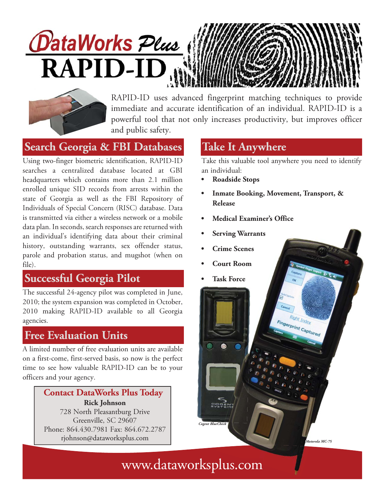# *OataWorks Plus* **RAPID-ID**



RAPID-ID uses advanced fingerprint matching techniques to provide immediate and accurate identification of an individual. RAPID-ID is a powerful tool that not only increases productivity, but improves officer and public safety.

Using two-finger biometric identification, RAPID-ID searches a centralized database located at GBI headquarters which contains more than 2.1 million enrolled unique SID records from arrests within the state of Georgia as well as the FBI Repository of Individuals of Special Concern (RISC) database. Data is transmitted via either a wireless network or a mobile data plan. In seconds, search responses are returned with an individual's identifying data about their criminal history, outstanding warrants, sex offender status, parole and probation status, and mugshot (when on file). **Search Georgia & FBI Databases**<br>
Joing two-finger biometric identification, RAPID-ID<br>
Take this<br>
enacthes a centralized database located at GBI an indive<br>
neacthes a centralized database located at GBI an indiversion of t

### **Successful Georgia Pilot**

The successful 24-agency pilot was completed in June, 2010; the system expansion was completed in October, 2010 making RAPID-ID available to all Georgia agencies.

#### **Free Evaluation Units**

A limited number of free evaluation units are available on a first-come, first-served basis, so now is the perfect time to see how valuable RAPID-ID can be to your officers and your agency.

#### **Rick Johnson** 728 North Pleasantburg Drive Greenville, SC 29607 Phone: 864.430.7981 Fax: 864.672.2787 rjohnson@dataworksplus.com *Motorola MC-75* **Contact DataWorks Plus Today**

#### **Take It Anywhere**

Take this valuable tool anywhere you need to identify an individual:

- **Roadside Stops**
- **Inmate Booking, Movement, Transport, & Release**
- **Medical Examiner's Office** miner's Office<br>
rants<br>
S<br>
S<br>
The Registry of the Registry Capture<br>
The Registry of the Registry of the Registry of the Registry of the Registry of the Registry of the Registry of the Registry of the Registry of the Registr
- **Serving Warrants**
- **Crime Scenes**
- **Court Room**
- **Task Force**

### www.dataworksplus.com

*Cogent BlueCheck*